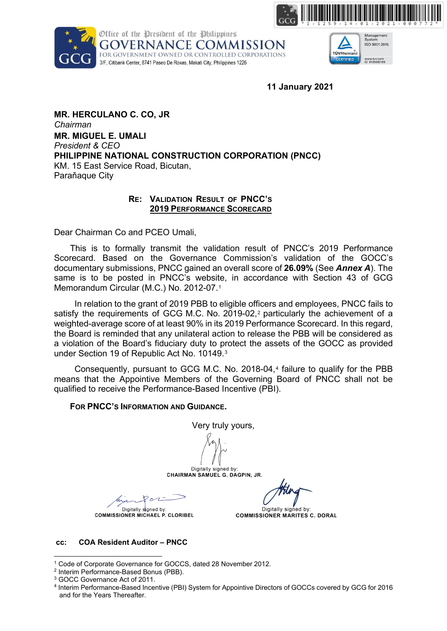





**11 January 2021**

**MR. HERCULANO C. CO, JR**  *Chairman* **MR. MIGUEL E. UMALI** *President & CEO* **PHILIPPINE NATIONAL CONSTRUCTION CORPORATION (PNCC)** KM. 15 East Service Road, Bicutan, Paraňaque City

### **RE: VALIDATION RESULT OF PNCC'S 2019 PERFORMANCE SCORECARD**

Dear Chairman Co and PCEO Umali,

This is to formally transmit the validation result of PNCC's 2019 Performance Scorecard. Based on the Governance Commission's validation of the GOCC's documentary submissions, PNCC gained an overall score of **26.09%** (See *Annex A*). The same is to be posted in PNCC's website, in accordance with Section 43 of GCG Memorandum Circular (M.C.) No. 2012-07.[1](#page-0-0) 

In relation to the grant of 2019 PBB to eligible officers and employees, PNCC fails to satisfy the requirements of GCG M.C. No. [2](#page-0-1)019-02,<sup>2</sup> particularly the achievement of a weighted-average score of at least 90% in its 2019 Performance Scorecard. In this regard, the Board is reminded that any unilateral action to release the PBB will be considered as a violation of the Board's fiduciary duty to protect the assets of the GOCC as provided under Section 19 of Republic Act No. 10149.[3](#page-0-2)

Consequently, pursuant to GCG M.C. No. 2018-04,[4](#page-0-3) failure to qualify for the PBB means that the Appointive Members of the Governing Board of PNCC shall not be qualified to receive the Performance-Based Incentive (PBI).

## **FOR PNCC'S INFORMATION AND GUIDANCE.**

Very truly yours,

Digitally signed by: CHAIRMAN SAMUEL G. DAGPIN, JR.

 $\sim$ Digitally signed by:

**COMMISSIONER MICHAEL P. CLORIBEL** 

Digitally signed by: **COMMISSIONER MARITES C. DORAL** 

#### **cc: COA Resident Auditor – PNCC**

<span id="page-0-0"></span><sup>1</sup> Code of Corporate Governance for GOCCS, dated 28 November 2012.

<span id="page-0-1"></span><sup>2</sup> Interim Performance-Based Bonus (PBB).

<span id="page-0-2"></span><sup>3</sup> GOCC Governance Act of 2011.

<span id="page-0-3"></span><sup>4</sup> Interim Performance-Based Incentive (PBI) System for Appointive Directors of GOCCs covered by GCG for 2016 and for the Years Thereafter.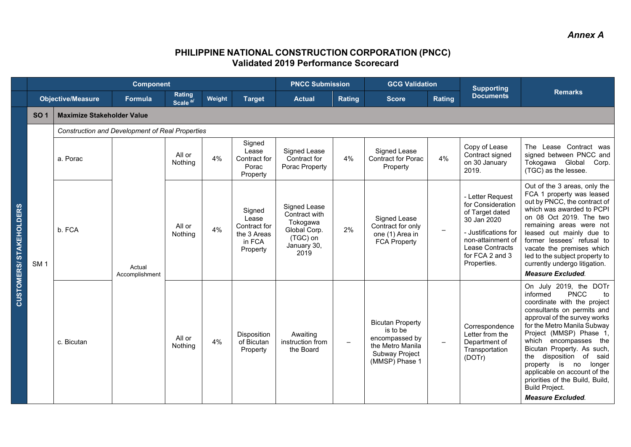# *Annex A*

# **PHILIPPINE NATIONAL CONSTRUCTION CORPORATION (PNCC) Validated 2019 Performance Scorecard**

|                                   |                 |                                                 | <b>Component</b>         |                               |        |                                                                      | <b>PNCC Submission</b>                                                                       |                          | <b>GCG Validation</b>                                                                                         |                          | <b>Supporting</b>                                                                                                                                                         |                                                                                                                                                                                                                                                                                                                                                                                                                                                      |
|-----------------------------------|-----------------|-------------------------------------------------|--------------------------|-------------------------------|--------|----------------------------------------------------------------------|----------------------------------------------------------------------------------------------|--------------------------|---------------------------------------------------------------------------------------------------------------|--------------------------|---------------------------------------------------------------------------------------------------------------------------------------------------------------------------|------------------------------------------------------------------------------------------------------------------------------------------------------------------------------------------------------------------------------------------------------------------------------------------------------------------------------------------------------------------------------------------------------------------------------------------------------|
|                                   |                 | <b>Objective/Measure</b>                        | Formula                  | Rating<br>Scale <sup>a/</sup> | Weight | <b>Target</b>                                                        | <b>Actual</b>                                                                                | Rating                   | <b>Score</b>                                                                                                  | Rating                   | <b>Documents</b>                                                                                                                                                          | <b>Remarks</b>                                                                                                                                                                                                                                                                                                                                                                                                                                       |
|                                   | <b>SO 1</b>     | <b>Maximize Stakeholder Value</b>               |                          |                               |        |                                                                      |                                                                                              |                          |                                                                                                               |                          |                                                                                                                                                                           |                                                                                                                                                                                                                                                                                                                                                                                                                                                      |
|                                   |                 | Construction and Development of Real Properties |                          |                               |        |                                                                      |                                                                                              |                          |                                                                                                               |                          |                                                                                                                                                                           |                                                                                                                                                                                                                                                                                                                                                                                                                                                      |
| <b>STAKEHOLDERS</b><br>CUSTOMERS/ |                 | a. Porac                                        | Actual<br>Accomplishment | All or<br>Nothing             | 4%     | Signed<br>Lease<br>Contract for<br>Porac<br>Property                 | Signed Lease<br>Contract for<br>Porac Property                                               | 4%                       | Signed Lease<br><b>Contract for Porac</b><br>Property                                                         | 4%                       | Copy of Lease<br>Contract signed<br>on 30 January<br>2019.                                                                                                                | The Lease Contract was<br>signed between PNCC and<br>Tokogawa Global Corp.<br>(TGC) as the lessee.                                                                                                                                                                                                                                                                                                                                                   |
|                                   | SM <sub>1</sub> | b. FCA                                          |                          | All or<br>Nothing             | 4%     | Signed<br>Lease<br>Contract for<br>the 3 Areas<br>in FCA<br>Property | Signed Lease<br>Contract with<br>Tokogawa<br>Global Corp.<br>(TGC) on<br>January 30,<br>2019 | 2%                       | Signed Lease<br>Contract for only<br>one (1) Area in<br><b>FCA Property</b>                                   | $\qquad \qquad -$        | - Letter Request<br>for Consideration<br>of Target dated<br>30 Jan 2020<br>- Justifications for<br>non-attainment of<br>Lease Contracts<br>for FCA 2 and 3<br>Properties. | Out of the 3 areas, only the<br>FCA 1 property was leased<br>out by PNCC, the contract of<br>which was awarded to PCPI<br>on 08 Oct 2019. The two<br>remaining areas were not<br>leased out mainly due to<br>former lessees' refusal to<br>vacate the premises which<br>led to the subject property to<br>currently undergo litigation.<br><b>Measure Excluded.</b>                                                                                  |
|                                   |                 | c. Bicutan                                      |                          | All or<br>Nothing             | 4%     | Disposition<br>of Bicutan<br>Property                                | Awaiting<br>instruction from<br>the Board                                                    | $\overline{\phantom{m}}$ | <b>Bicutan Property</b><br>is to be<br>encompassed by<br>the Metro Manila<br>Subway Project<br>(MMSP) Phase 1 | $\overline{\phantom{0}}$ | Correspondence<br>Letter from the<br>Department of<br>Transportation<br>(DOTr)                                                                                            | On July 2019, the DOTr<br><b>PNCC</b><br>informed<br>to<br>coordinate with the project<br>consultants on permits and<br>approval of the survey works<br>for the Metro Manila Subway<br>Project (MMSP) Phase 1,<br>which encompasses the<br>Bicutan Property. As such,<br>the disposition of said<br>property is no<br>longer<br>applicable on account of the<br>priorities of the Build, Build,<br><b>Build Project.</b><br><b>Measure Excluded.</b> |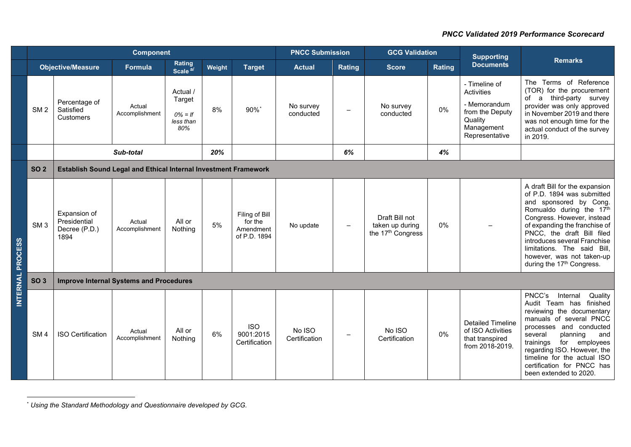<span id="page-2-0"></span>

|                 |                 |                                                                        | <b>Component</b>         |                                                      |        |                                                        | <b>PNCC Submission</b>  |                          | <b>GCG Validation</b>                                  |        | <b>Supporting</b>                                                                                         |                                                                                                                                                                                                                                                                                                                                                      |  |  |
|-----------------|-----------------|------------------------------------------------------------------------|--------------------------|------------------------------------------------------|--------|--------------------------------------------------------|-------------------------|--------------------------|--------------------------------------------------------|--------|-----------------------------------------------------------------------------------------------------------|------------------------------------------------------------------------------------------------------------------------------------------------------------------------------------------------------------------------------------------------------------------------------------------------------------------------------------------------------|--|--|
|                 |                 | <b>Objective/Measure</b>                                               | Formula                  | Rating<br>Scale <sup>a/</sup>                        | Weight | <b>Target</b>                                          | <b>Actual</b>           | Rating                   | <b>Score</b>                                           | Rating | <b>Documents</b>                                                                                          | <b>Remarks</b>                                                                                                                                                                                                                                                                                                                                       |  |  |
|                 | SM <sub>2</sub> | Percentage of<br>Satisfied<br><b>Customers</b>                         | Actual<br>Accomplishment | Actual /<br>Target<br>$0\% = If$<br>less than<br>80% | 8%     | $90\%$ <sup>*</sup>                                    | No survey<br>conducted  | $\overline{\phantom{m}}$ | No survey<br>conducted                                 | 0%     | - Timeline of<br>Activities<br>- Memorandum<br>from the Deputy<br>Quality<br>Management<br>Representative | The Terms of Reference<br>(TOR) for the procurement<br>third-party survey<br>of a<br>provider was only approved<br>in November 2019 and there<br>was not enough time for the<br>actual conduct of the survey<br>in 2019.                                                                                                                             |  |  |
|                 |                 |                                                                        | Sub-total                |                                                      | 20%    |                                                        |                         | 6%                       |                                                        | 4%     |                                                                                                           |                                                                                                                                                                                                                                                                                                                                                      |  |  |
|                 | <b>SO 2</b>     | <b>Establish Sound Legal and Ethical Internal Investment Framework</b> |                          |                                                      |        |                                                        |                         |                          |                                                        |        |                                                                                                           |                                                                                                                                                                                                                                                                                                                                                      |  |  |
| <b>PROCESS</b>  | SM <sub>3</sub> | Expansion of<br>Presidential<br>Decree (P.D.)<br>1894                  | Actual<br>Accomplishment | All or<br>Nothing                                    | 5%     | Filing of Bill<br>for the<br>Amendment<br>of P.D. 1894 | No update               | $\overline{\phantom{m}}$ | Draft Bill not<br>taken up during<br>the 17th Congress | 0%     |                                                                                                           | A draft Bill for the expansion<br>of P.D. 1894 was submitted<br>and sponsored by Cong.<br>Romualdo during the 17th<br>Congress. However, instead<br>of expanding the franchise of<br>PNCC, the draft Bill filed<br>introduces several Franchise<br>limitations. The said Bill,<br>however, was not taken-up<br>during the 17 <sup>th</sup> Congress. |  |  |
|                 | <b>SO 3</b>     | <b>Improve Internal Systems and Procedures</b>                         |                          |                                                      |        |                                                        |                         |                          |                                                        |        |                                                                                                           |                                                                                                                                                                                                                                                                                                                                                      |  |  |
| <b>INTERNAL</b> | SM <sub>4</sub> | <b>ISO Certification</b>                                               | Actual<br>Accomplishment | All or<br>Nothing                                    | 6%     | <b>ISO</b><br>9001:2015<br>Certification               | No ISO<br>Certification |                          | No ISO<br>Certification                                | 0%     | <b>Detailed Timeline</b><br>of ISO Activities<br>that transpired<br>from 2018-2019.                       | PNCC's<br>Internal<br>Quality<br>Audit Team has finished<br>reviewing the documentary<br>manuals of several PNCC<br>processes and conducted<br>planning<br>several<br>and<br>for<br>employees<br>trainings<br>regarding ISO. However, the<br>timeline for the actual ISO<br>certification for PNCC has<br>been extended to 2020.                     |  |  |

<sup>\*</sup> *Using the Standard Methodology and Questionnaire developed by GCG.*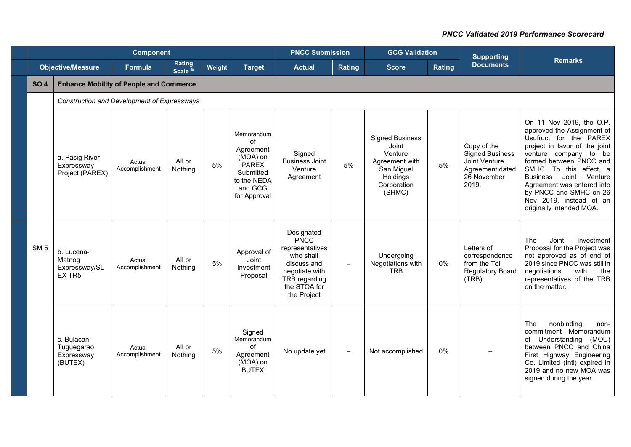|                 |                                                    |                                             | <b>PNCC Submission</b>        |        | <b>GCG Validation</b>                                                                                     |                                                                                                                                            | <b>Supporting</b>        |                                                                                                                 |        |                                                                                                   |                                                                                                                                                                                                                                                                                                                                                        |  |  |  |  |
|-----------------|----------------------------------------------------|---------------------------------------------|-------------------------------|--------|-----------------------------------------------------------------------------------------------------------|--------------------------------------------------------------------------------------------------------------------------------------------|--------------------------|-----------------------------------------------------------------------------------------------------------------|--------|---------------------------------------------------------------------------------------------------|--------------------------------------------------------------------------------------------------------------------------------------------------------------------------------------------------------------------------------------------------------------------------------------------------------------------------------------------------------|--|--|--|--|
|                 | <b>Objective/Measure</b>                           | <b>Formula</b>                              | Rating<br>Scale <sup>a/</sup> | Weight | <b>Target</b>                                                                                             | <b>Actual</b>                                                                                                                              | <b>Rating</b>            | <b>Score</b>                                                                                                    | Rating | <b>Documents</b>                                                                                  | <b>Remarks</b>                                                                                                                                                                                                                                                                                                                                         |  |  |  |  |
| <b>SO 4</b>     | <b>Enhance Mobility of People and Commerce</b>     |                                             |                               |        |                                                                                                           |                                                                                                                                            |                          |                                                                                                                 |        |                                                                                                   |                                                                                                                                                                                                                                                                                                                                                        |  |  |  |  |
|                 |                                                    | Construction and Development of Expressways |                               |        |                                                                                                           |                                                                                                                                            |                          |                                                                                                                 |        |                                                                                                   |                                                                                                                                                                                                                                                                                                                                                        |  |  |  |  |
|                 | a. Pasig River<br>Expressway<br>Project (PAREX)    | Actual<br>Accomplishment                    | All or<br>Nothing             | 5%     | Memorandum<br>of<br>Agreement<br>(MOA) on<br>PAREX<br>Submitted<br>to the NEDA<br>and GCG<br>for Approval | Signed<br><b>Business Joint</b><br>Venture<br>Agreement                                                                                    | 5%                       | <b>Signed Business</b><br>Joint<br>Venture<br>Agreement with<br>San Miguel<br>Holdings<br>Corporation<br>(SHMC) | 5%     | Copy of the<br><b>Signed Business</b><br>Joint Venture<br>Agreement dated<br>26 November<br>2019. | On 11 Nov 2019, the O.P.<br>approved the Assignment of<br>Usufruct for the PAREX<br>project in favor of the joint<br>venture company to be<br>formed between PNCC and<br>SMHC. To this effect, a<br><b>Business</b><br>Joint<br>Venture<br>Agreement was entered into<br>by PNCC and SMHC on 26<br>Nov 2019, instead of an<br>originally intended MOA. |  |  |  |  |
| SM <sub>5</sub> | b. Lucena-<br>Matnog<br>Expressway/SL<br>EX TR5    | Actual<br>Accomplishment                    | All or<br>Nothing             | 5%     | Approval of<br>Joint<br>Investment<br>Proposal                                                            | Designated<br><b>PNCC</b><br>representatives<br>who shall<br>discuss and<br>negotiate with<br>TRB regarding<br>the STOA for<br>the Project | $\qquad \qquad -$        | Undergoing<br>Negotiations with<br><b>TRB</b>                                                                   | 0%     | Letters of<br>correspondence<br>from the Toll<br>Regulatory Board<br>(TRB)                        | The<br>Joint<br>Investment<br>Proposal for the Project was<br>not approved as of end of<br>2019 since PNCC was still in<br>with<br>negotiations<br>the<br>representatives of the TRB<br>on the matter.                                                                                                                                                 |  |  |  |  |
|                 | c. Bulacan-<br>Tuguegarao<br>Expressway<br>(BUTEX) | Actual<br>Accomplishment                    | All or<br>Nothing             | 5%     | Signed<br>Memorandum<br>of<br>Agreement<br>(MOA) on<br><b>BUTEX</b>                                       | No update yet                                                                                                                              | $\overline{\phantom{0}}$ | Not accomplished                                                                                                | 0%     |                                                                                                   | The<br>nonbinding,<br>non-<br>commitment Memorandum<br>of Understanding<br>(MOU)<br>between PNCC and China<br>First Highway Engineering<br>Co. Limited (Intl) expired in<br>2019 and no new MOA was<br>signed during the year.                                                                                                                         |  |  |  |  |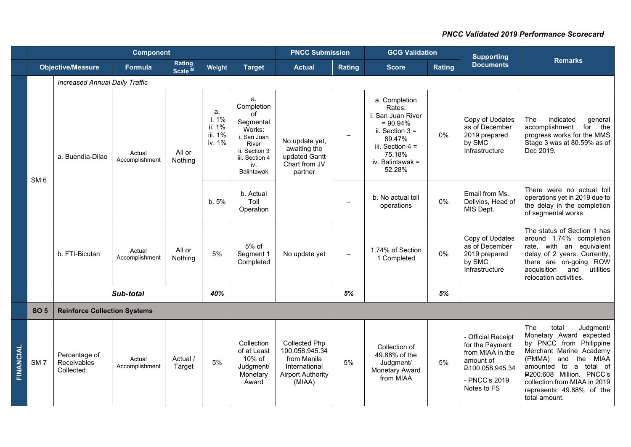|           | <b>Component</b> |                                           |                          |                               |                                            |                                                                                                                                      | <b>PNCC Submission</b>                                                                                       |                          | <b>GCG Validation</b>                                                                                                                                     |        | <b>Supporting</b>                                                                                                         |                                                                                                                                                                                                                                                                            |  |
|-----------|------------------|-------------------------------------------|--------------------------|-------------------------------|--------------------------------------------|--------------------------------------------------------------------------------------------------------------------------------------|--------------------------------------------------------------------------------------------------------------|--------------------------|-----------------------------------------------------------------------------------------------------------------------------------------------------------|--------|---------------------------------------------------------------------------------------------------------------------------|----------------------------------------------------------------------------------------------------------------------------------------------------------------------------------------------------------------------------------------------------------------------------|--|
|           |                  | <b>Objective/Measure</b>                  | <b>Formula</b>           | Rating<br>Scale <sup>a/</sup> | Weight                                     | <b>Target</b>                                                                                                                        | <b>Actual</b>                                                                                                | Rating                   | <b>Score</b>                                                                                                                                              | Rating | <b>Documents</b>                                                                                                          | <b>Remarks</b>                                                                                                                                                                                                                                                             |  |
|           |                  | <b>Increased Annual Daily Traffic</b>     |                          |                               |                                            |                                                                                                                                      |                                                                                                              |                          |                                                                                                                                                           |        |                                                                                                                           |                                                                                                                                                                                                                                                                            |  |
|           | SM <sub>6</sub>  | a. Buendia-Dilao                          | Actual<br>Accomplishment | All or<br>Nothing             | a.<br>i. 1%<br>ii. 1%<br>iii. 1%<br>iv. 1% | a.<br>Completion<br>of<br>Segmental<br>Works:<br>i. San Juan<br>River<br>ii. Section 3<br>iii. Section 4<br>iv.<br><b>Balintawak</b> | No update yet,<br>awaiting the<br>updated Gantt<br>Chart from JV<br>partner                                  | $\overline{\phantom{m}}$ | a. Completion<br>Rates:<br>i. San Juan River<br>$= 90.94%$<br>ii. Section $3 =$<br>89.47%<br>iii. Section $4 =$<br>75.18%<br>iv. Balintawak $=$<br>52.28% | $0\%$  | Copy of Updates<br>as of December<br>2019 prepared<br>by SMC<br>Infrastructure                                            | The<br>indicated<br>qeneral<br>the<br>accomplishment<br>for<br>progress works for the MMS<br>Stage 3 was at 80.59% as of<br>Dec 2019.                                                                                                                                      |  |
|           |                  |                                           |                          |                               | b. 5%                                      | b. Actual<br>Toll<br>Operation                                                                                                       |                                                                                                              | $\overline{\phantom{a}}$ | b. No actual toll<br>operations                                                                                                                           | 0%     | Email from Ms.<br>Delivios, Head of<br>MIS Dept.                                                                          | There were no actual toll<br>operations yet in 2019 due to<br>the delay in the completion<br>of segmental works.                                                                                                                                                           |  |
|           |                  | b. FTI-Bicutan                            | Actual<br>Accomplishment | All or<br>Nothing             | 5%                                         | 5% of<br>Segment 1<br>Completed                                                                                                      | No update yet                                                                                                | $\overline{\phantom{m}}$ | 1.74% of Section<br>1 Completed                                                                                                                           | 0%     | Copy of Updates<br>as of December<br>2019 prepared<br>by SMC<br>Infrastructure                                            | The status of Section 1 has<br>around 1.74% completion<br>rate, with an equivalent<br>delay of 2 years. Currently,<br>there are on-going ROW<br>utilities<br>acquisition<br>and<br>relocation activities.                                                                  |  |
|           |                  |                                           | Sub-total                |                               | 40%                                        |                                                                                                                                      |                                                                                                              | 5%                       |                                                                                                                                                           | 5%     |                                                                                                                           |                                                                                                                                                                                                                                                                            |  |
|           | <b>SO 5</b>      | <b>Reinforce Collection Systems</b>       |                          |                               |                                            |                                                                                                                                      |                                                                                                              |                          |                                                                                                                                                           |        |                                                                                                                           |                                                                                                                                                                                                                                                                            |  |
| FINANCIAL | SM <sub>7</sub>  | Percentage of<br>Receivables<br>Collected | Actual<br>Accomplishment | Actual /<br>Target            | 5%                                         | Collection<br>of at Least<br>10% of<br>Judgment/<br>Monetary<br>Award                                                                | <b>Collected Php</b><br>100,058,945.34<br>from Manila<br>International<br><b>Airport Authority</b><br>(MIAA) | 5%                       | Collection of<br>49.88% of the<br>Judgment/<br>Monetary Award<br>from MIAA                                                                                | 5%     | - Official Receipt<br>for the Payment<br>from MIAA in the<br>amount of<br>₽100,058,945.34<br>- PNCC's 2019<br>Notes to FS | The<br>total<br>Judgment/<br>Monetary Award expected<br>by PNCC from Philippine<br>Merchant Marine Academy<br>the MIAA<br>(PMMA)<br>and<br>amounted to a total of<br>P200.608 Million. PNCC's<br>collection from MIAA in 2019<br>represents 49.88% of the<br>total amount. |  |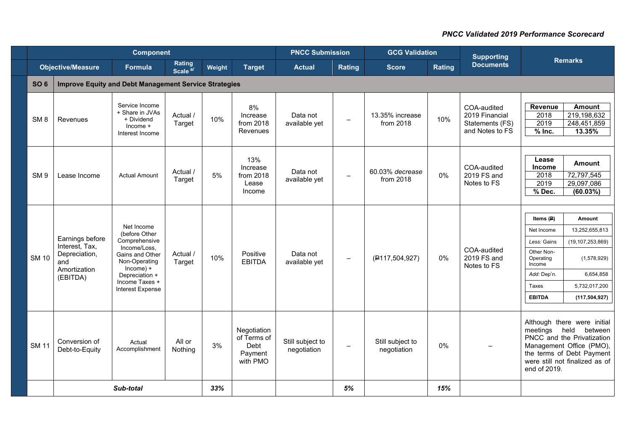|                 | <b>Component</b><br><b>PNCC Submission</b><br><b>GCG Validation</b><br><b>Supporting</b> |                                                                                                                                                                          |                               |        |                                                           |                                 |                          |                                 |        |                                                                     |                                                                                                                        |                                                                                                                                                                 |
|-----------------|------------------------------------------------------------------------------------------|--------------------------------------------------------------------------------------------------------------------------------------------------------------------------|-------------------------------|--------|-----------------------------------------------------------|---------------------------------|--------------------------|---------------------------------|--------|---------------------------------------------------------------------|------------------------------------------------------------------------------------------------------------------------|-----------------------------------------------------------------------------------------------------------------------------------------------------------------|
|                 | <b>Objective/Measure</b>                                                                 | Formula                                                                                                                                                                  | Rating<br>Scale <sup>a/</sup> | Weight | <b>Target</b>                                             | <b>Actual</b>                   | Rating                   | <b>Score</b>                    | Rating | <b>Documents</b>                                                    |                                                                                                                        | <b>Remarks</b>                                                                                                                                                  |
| <b>SO 6</b>     | <b>Improve Equity and Debt Management Service Strategies</b>                             |                                                                                                                                                                          |                               |        |                                                           |                                 |                          |                                 |        |                                                                     |                                                                                                                        |                                                                                                                                                                 |
| SM <sub>8</sub> | <b>Revenues</b>                                                                          | Service Income<br>+ Share in JVAs<br>+ Dividend<br>$Income +$<br>Interest Income                                                                                         | Actual /<br>Target            | 10%    | 8%<br>Increase<br>from 2018<br>Revenues                   | Data not<br>available yet       | $\overline{\phantom{0}}$ | 13.35% increase<br>from 2018    | 10%    | COA-audited<br>2019 Financial<br>Statements (FS)<br>and Notes to FS | Revenue<br>2018<br>2019<br>$%$ Inc.                                                                                    | <b>Amount</b><br>219,198,632<br>248,451,859<br>13.35%                                                                                                           |
| SM <sub>9</sub> | Lease Income                                                                             | <b>Actual Amount</b>                                                                                                                                                     | Actual /<br>Target            | 5%     | 13%<br>Increase<br>from 2018<br>Lease<br>Income           | Data not<br>available yet       | $\qquad \qquad -$        | 60.03% decrease<br>from 2018    | 0%     | COA-audited<br>2019 FS and<br>Notes to FS                           | Lease<br>Income<br>2018<br>2019<br>% Dec.                                                                              | <b>Amount</b><br>72,797,545<br>29,097,086<br>(60.03%)                                                                                                           |
| <b>SM 10</b>    | Earnings before<br>Interest, Tax,<br>Depreciation,<br>and<br>Amortization<br>(EBITDA)    | Net Income<br>(before Other<br>Comprehensive<br>Income/Loss.<br>Gains and Other<br>Non-Operating<br>$Income$ ) +<br>Depreciation +<br>Income Taxes +<br>Interest Expense | Actual /<br>Target            | 10%    | Positive<br><b>EBITDA</b>                                 | Data not<br>available yet       | $\overline{\phantom{0}}$ | (P117, 504, 927)                | 0%     | COA-audited<br>2019 FS and<br>Notes to FS                           | Items $(P)$<br>Net Income<br>Less: Gains<br>Other Non-<br>Operating<br>Income<br>Add: Dep'n.<br>Taxes<br><b>EBITDA</b> | Amount<br>13,252,655,813<br>(19, 107, 253, 869)<br>(1,578,929)<br>6,654,858<br>5,732,017,200<br>(117, 504, 927)                                                 |
| <b>SM 11</b>    | Conversion of<br>Debt-to-Equity                                                          | Actual<br>Accomplishment                                                                                                                                                 | All or<br>Nothing             | 3%     | Negotiation<br>of Terms of<br>Debt<br>Payment<br>with PMO | Still subject to<br>negotiation | $\qquad \qquad -$        | Still subject to<br>negotiation | 0%     |                                                                     | meetings held<br>end of 2019.                                                                                          | Although there were initial<br>between<br>PNCC and the Privatization<br>Management Office (PMO),<br>the terms of Debt Payment<br>were still not finalized as of |
|                 |                                                                                          | Sub-total                                                                                                                                                                |                               | 33%    |                                                           |                                 | 5%                       |                                 | 15%    |                                                                     |                                                                                                                        |                                                                                                                                                                 |